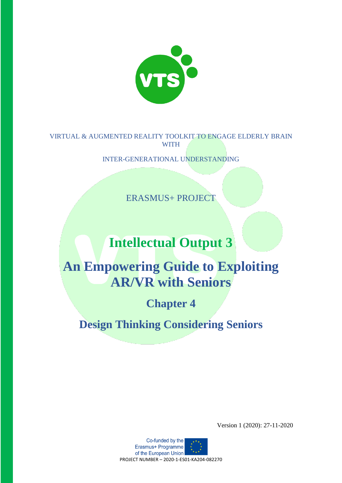

VIRTUAL & AUGMENTED REALITY TOOLKIT TO ENGAGE ELDERLY BRAIN WITH

INTER-GENERATIONAL UNDERSTANDING

ERASMUS+ PROJECT

# **Intellectual Output 3**

# **An Empowering Guide to Exploiting AR/VR with Seniors**

**Chapter 4**

**Design Thinking Considering Seniors**

Version 1 (2020): 27-11-2020

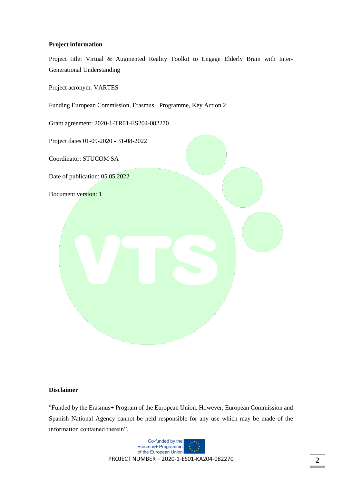#### **Project information**

Project title: Virtual & Augmented Reality Toolkit to Engage Elderly Brain with Inter-Generational Understanding

Project acronym: VARTES

Funding European Commission, Erasmus+ Programme, Key Action 2

Grant agreement: 2020-1-TR01-ES204-082270

Project dates 01-09-2020 - 31-08-2022

Coordinator: STUCOM SA

Date of publication: 05.05.2022

Document version: 1

#### **Disclaimer**

"Funded by the Erasmus+ Program of the European Union. However, European Commission and Spanish National Agency cannot be held responsible for any use which may be made of the information contained therein".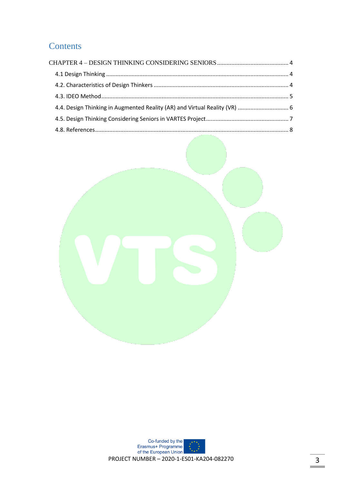# **Contents**

| 4.4. Design Thinking in Augmented Reality (AR) and Virtual Reality (VR)  6 |  |
|----------------------------------------------------------------------------|--|
|                                                                            |  |
|                                                                            |  |



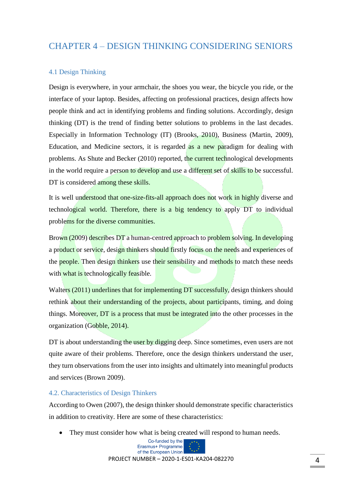# <span id="page-3-0"></span>CHAPTER 4 – DESIGN THINKING CONSIDERING SENIORS

#### <span id="page-3-1"></span>4.1 Design Thinking

Design is everywhere, in your armchair, the shoes you wear, the bicycle you ride, or the interface of your laptop. Besides, affecting on professional practices, design affects how people think and act in identifying problems and finding solutions. Accordingly, design thinking (DT) is the trend of finding better solutions to problems in the last decades. Especially in Information Technology (IT) (Brooks, 2010), Business (Martin, 2009), Education, and Medicine sectors, it is regarded as a new paradigm for dealing with problems. As Shute and Becker (2010) reported, the current technological developments in the world require a person to develop and use a different set of skills to be successful. DT is considered among these skills.

It is well understood that one-size-fits-all approach does not work in highly diverse and technological world. Therefore, there is a big tendency to apply DT to individual problems for the diverse communities.

Brown (2009) describes DT a human-centred approach to problem solving. In developing a product or service, design thinkers should firstly focus on the needs and experiences of the people. Then design thinkers use their sensibility and methods to match these needs with what is technologically feasible.

Walters (2011) underlines that for implementing DT successfully, design thinkers should rethink about their understanding of the projects, about participants, timing, and doing things. Moreover, DT is a process that must be integrated into the other processes in the organization (Gobble, 2014).

DT is about understanding the user by digging deep. Since sometimes, even users are not quite aware of their problems. Therefore, once the design thinkers understand the user, they turn observations from the user into insights and ultimately into meaningful products and services (Brown 2009).

#### <span id="page-3-2"></span>4.2. Characteristics of Design Thinkers

According to Owen (2007), the design thinker should demonstrate specific characteristics in addition to creativity. Here are some of these characteristics:

• They must consider how what is being created will respond to human needs.

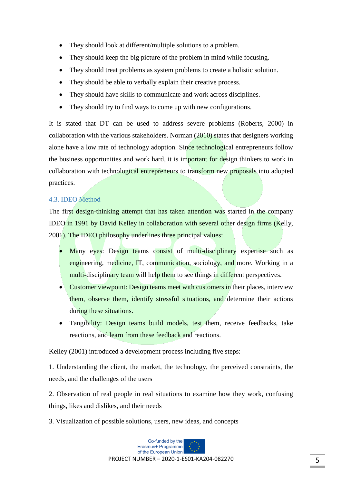- They should look at different/multiple solutions to a problem.
- They should keep the big picture of the problem in mind while focusing.
- They should treat problems as system problems to create a holistic solution.
- They should be able to verbally explain their creative process.
- They should have skills to communicate and work across disciplines.
- They should try to find ways to come up with new configurations.

It is stated that DT can be used to address severe problems (Roberts, 2000) in collaboration with the various stakeholders. Norman (2010) states that designers working alone have a low rate of technology adoption. Since technological entrepreneurs follow the business opportunities and work hard, it is important for design thinkers to work in collaboration with technological entrepreneurs to transform new proposals into adopted practices.

## <span id="page-4-0"></span>4.3. IDEO Method

The first design-thinking attempt that has taken attention was started in the company IDEO in 1991 by David Kelley in collaboration with several other design firms (Kelly, 2001). The IDEO philosophy underlines three principal values:

- Many eyes: Design teams consist of multi-disciplinary expertise such as engineering, medicine, IT, communication, sociology, and more. Working in a multi-disciplinary team will help them to see things in different perspectives.
- Customer viewpoint: Design teams meet with customers in their places, interview them, observe them, identify stressful situations, and determine their actions during these situations.
- Tangibility: Design teams build models, test them, receive feedbacks, take reactions, and learn from these feedback and reactions.

Kelley (2001) introduced a development process including five steps:

1. Understanding the client, the market, the technology, the perceived constraints, the needs, and the challenges of the users

2. Observation of real people in real situations to examine how they work, confusing things, likes and dislikes, and their needs

3. Visualization of possible solutions, users, new ideas, and concepts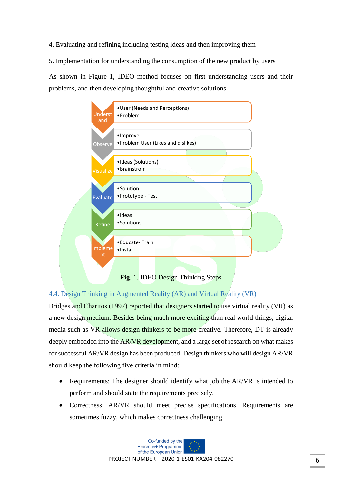4. Evaluating and refining including testing ideas and then improving them

5. Implementation for understanding the consumption of the new product by users As shown in Figure 1, IDEO method focuses on first understanding users and their problems, and then developing thoughtful and creative solutions.



### <span id="page-5-0"></span>4.4. Design Thinking in Augmented Reality (AR) and Virtual Reality (VR)

Bridges and Charitos (1997) reported that designers started to use virtual reality (VR) as a new design medium. Besides being much more exciting than real world things, digital media such as VR allows design thinkers to be more creative. Therefore, DT is already deeply embedded into the AR/VR development, and a large set of research on what makes for successful AR/VR design has been produced. Design thinkers who will design AR/VR should keep the following five criteria in mind:

- Requirements: The designer should identify what job the AR/VR is intended to perform and should state the requirements precisely.
- Correctness: AR/VR should meet precise specifications. Requirements are sometimes fuzzy, which makes correctness challenging.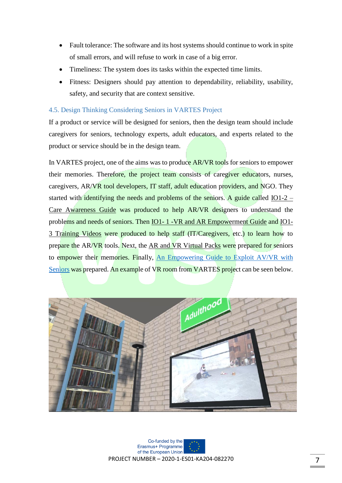- Fault tolerance: The software and its host systems should continue to work in spite of small errors, and will refuse to work in case of a big error.
- Timeliness: The system does its tasks within the expected time limits.
- Fitness: Designers should pay attention to dependability, reliability, usability, safety, and security that are context sensitive.

### <span id="page-6-0"></span>4.5. Design Thinking Considering Seniors in VARTES Project

If a product or service will be designed for seniors, then the design team should include caregivers for seniors, technology experts, adult educators, and experts related to the product or service should be in the design team.

In VARTES project, one of the aims was to produce AR/VR tools for seniors to empower their memories. Therefore, the project team consists of caregiver educators, nurses, caregivers, AR/VR tool developers, IT staff, adult education providers, and NGO. They started with identifying the needs and problems of the seniors. A guide called  $IO1-2$  – [Care Awareness Guide](http://vartes.eu/index.php/io1-2-care-awareness-guide/) was produced to help AR/VR designers to understand the problems and needs of seniors. Then IO1- [1 -VR and AR Empowerment Guide](http://vartes.eu/index.php/io1-1-vr-and-ar-emporwerment-guide/) and [IO1-](http://vartes.eu/index.php/io1-3-training-videos/) [3 Training Videos](http://vartes.eu/index.php/io1-3-training-videos/) were produced to help staff (IT/Caregivers, etc.) to learn how to prepare the AR/VR tools. Next, the [AR and VR Virtual Packs](http://vartes.eu/index.php/io2/) were prepared for seniors to empower their memories. Finally, [An Empowering Guide to Exploit AV/VR with](http://vartes.eu/index.php/io3/)  [Seniors](http://vartes.eu/index.php/io3/) was prepared. An example of VR room from VARTES project can be seen below.

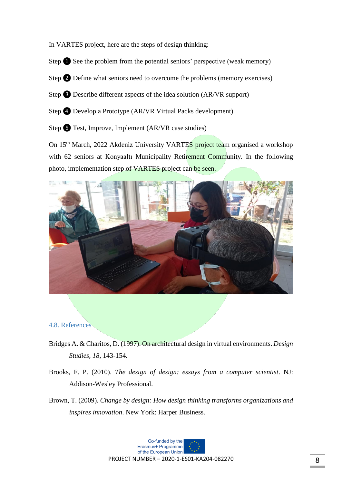In VARTES project, here are the steps of design thinking:

- Step  $\bullet$  See the problem from the potential seniors' perspective (weak memory)
- Step **2** Define what seniors need to overcome the problems (memory exercises)
- Step ❸ Describe different aspects of the idea solution (AR/VR support)
- Step  $\bullet$  Develop a Prototype (AR/VR Virtual Packs development)
- Step **S** Test, Improve, Implement (AR/VR case studies)

On 15<sup>th</sup> March, 2022 Akdeniz University VARTES project team organised a workshop with 62 seniors at Konyaaltı Municipality Retirement Community. In the following photo, implementation step of VARTES project can be seen.



#### <span id="page-7-0"></span>4.8. References

- Bridges A. & Charitos, D. (1997). On architectural design in virtual environments. *Design Studies, 18*, 143-154.
- Brooks, F. P. (2010). *The design of design: essays from a computer scientist*. NJ: Addison-Wesley Professional.
- Brown, T. (2009). *Change by design: How design thinking transforms organizations and inspires innovation*. New York: Harper Business.

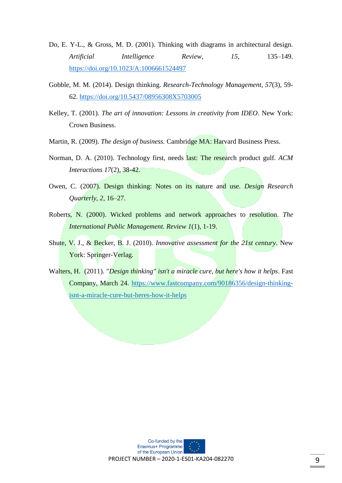- Do, E. Y-L., & Gross, M. D. (2001). Thinking with diagrams in architectural design. *Artificial Intelligence Review, 15*, 135–149. <https://doi.org/10.1023/A:1006661524497>
- Gobble, M. M. (2014). Design thinking. *Research-Technology Management*, *57*(3), 59- 62. <https://doi.org/10.5437/08956308X5703005>
- Kelley, T. (2001). *The art of innovation: Lessons in creativity from IDEO*. New York: Crown Business.
- Martin, R. (2009). *The design of business.* Cambridge MA: Harvard Business Press.
- Norman, D. A. (2010). Technology first, needs last: The research product gulf. *ACM Interactions 17*(2), 38-42.
- Owen, C. (2007). Design thinking: Notes on its nature and use. *Design Research Quarterly, 2,* 16–27.
- Roberts, N. (2000). Wicked problems and network approaches to resolution. *The International Public Management. Review 1*(1), 1-19.
- Shute, V. J., & Becker, B. J. (2010). *Innovative assessment for the 21st century*. New York: Springer-Verlag.
- Walters, H. (2011). "*Design thinking" isn't a miracle cure, but here's how it helps*. Fast Company, March 24. [https://www.fastcompany.com/90186356/design-thinking](https://www.fastcompany.com/90186356/design-thinking-isnt-a-miracle-cure-but-heres-how-it-helps)[isnt-a-miracle-cure-but-heres-how-it-helps](https://www.fastcompany.com/90186356/design-thinking-isnt-a-miracle-cure-but-heres-how-it-helps)